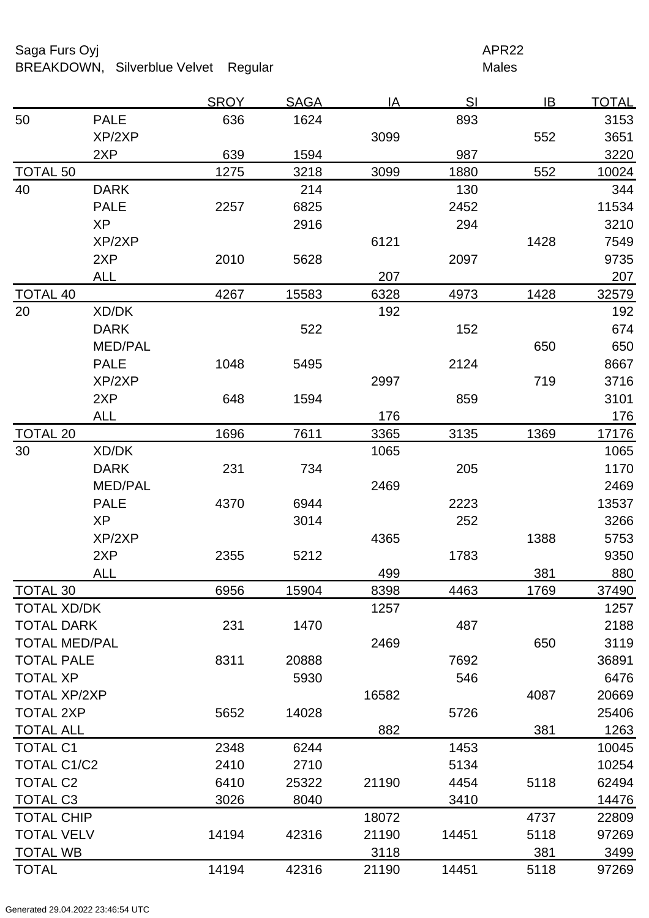Saga Furs Oyj and the Saga Furs Oyj APR22

BREAKDOWN, Silverblue Velvet Regular Males

|                      |                | <b>SROY</b> | <b>SAGA</b> | IA    | SI    | IB   | <u>TOTAL</u> |
|----------------------|----------------|-------------|-------------|-------|-------|------|--------------|
| 50                   | <b>PALE</b>    | 636         | 1624        |       | 893   |      | 3153         |
|                      | XP/2XP         |             |             | 3099  |       | 552  | 3651         |
|                      | 2XP            | 639         | 1594        |       | 987   |      | 3220         |
| <b>TOTAL 50</b>      |                | 1275        | 3218        | 3099  | 1880  | 552  | 10024        |
| 40                   | <b>DARK</b>    |             | 214         |       | 130   |      | 344          |
|                      | <b>PALE</b>    | 2257        | 6825        |       | 2452  |      | 11534        |
|                      | <b>XP</b>      |             | 2916        |       | 294   |      | 3210         |
|                      | XP/2XP         |             |             | 6121  |       | 1428 | 7549         |
|                      | 2XP            | 2010        | 5628        |       | 2097  |      | 9735         |
|                      | <b>ALL</b>     |             |             | 207   |       |      | 207          |
| <b>TOTAL 40</b>      |                | 4267        | 15583       | 6328  | 4973  | 1428 | 32579        |
| 20                   | XD/DK          |             |             | 192   |       |      | 192          |
|                      | <b>DARK</b>    |             | 522         |       | 152   |      | 674          |
|                      | <b>MED/PAL</b> |             |             |       |       | 650  | 650          |
|                      | <b>PALE</b>    | 1048        | 5495        |       | 2124  |      | 8667         |
|                      | XP/2XP         |             |             | 2997  |       | 719  | 3716         |
|                      | 2XP            | 648         | 1594        |       | 859   |      | 3101         |
|                      | <b>ALL</b>     |             |             | 176   |       |      | 176          |
| <b>TOTAL 20</b>      |                | 1696        | 7611        | 3365  | 3135  | 1369 | 17176        |
| 30                   | XD/DK          |             |             | 1065  |       |      | 1065         |
|                      | <b>DARK</b>    | 231         | 734         |       | 205   |      | 1170         |
|                      | <b>MED/PAL</b> |             |             | 2469  |       |      | 2469         |
|                      | <b>PALE</b>    | 4370        | 6944        |       | 2223  |      | 13537        |
|                      | <b>XP</b>      |             | 3014        |       | 252   |      | 3266         |
|                      | XP/2XP         |             |             | 4365  |       | 1388 | 5753         |
|                      | 2XP            | 2355        | 5212        |       | 1783  |      | 9350         |
|                      | <b>ALL</b>     |             |             | 499   |       | 381  | 880          |
| <b>TOTAL 30</b>      |                | 6956        | 15904       | 8398  | 4463  | 1769 | 37490        |
| <b>TOTAL XD/DK</b>   |                |             |             | 1257  |       |      | 1257         |
| <b>TOTAL DARK</b>    |                | 231         | 1470        |       | 487   |      | 2188         |
| <b>TOTAL MED/PAL</b> |                |             |             | 2469  |       | 650  | 3119         |
| <b>TOTAL PALE</b>    |                | 8311        | 20888       |       | 7692  |      | 36891        |
| <b>TOTAL XP</b>      |                |             | 5930        |       | 546   |      | 6476         |
| <b>TOTAL XP/2XP</b>  |                |             |             | 16582 |       | 4087 | 20669        |
| <b>TOTAL 2XP</b>     |                | 5652        | 14028       |       | 5726  |      | 25406        |
| <b>TOTAL ALL</b>     |                |             |             | 882   |       | 381  | 1263         |
| <b>TOTAL C1</b>      |                | 2348        | 6244        |       | 1453  |      | 10045        |
| TOTAL C1/C2          |                | 2410        | 2710        |       | 5134  |      | 10254        |
| <b>TOTAL C2</b>      |                | 6410        | 25322       | 21190 | 4454  | 5118 | 62494        |
| <b>TOTAL C3</b>      |                | 3026        | 8040        |       | 3410  |      | 14476        |
| <b>TOTAL CHIP</b>    |                |             |             | 18072 |       | 4737 | 22809        |
| <b>TOTAL VELV</b>    |                | 14194       | 42316       | 21190 | 14451 | 5118 | 97269        |
| <b>TOTAL WB</b>      |                |             |             | 3118  |       | 381  | 3499         |
| <b>TOTAL</b>         |                | 14194       | 42316       | 21190 | 14451 | 5118 | 97269        |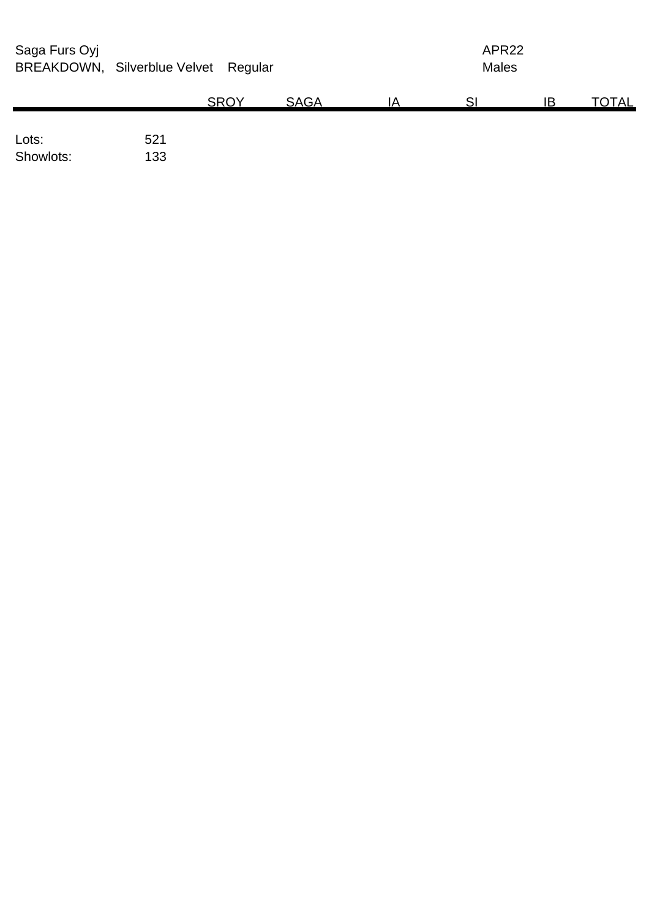| Saga Furs Oyj<br>BREAKDOWN, Silverblue Velvet Regular |            |             | APR22<br><b>Males</b> |    |    |    |              |
|-------------------------------------------------------|------------|-------------|-----------------------|----|----|----|--------------|
|                                                       |            | <b>SROY</b> | <b>SAGA</b>           | ΙA | SI | ΙB | <u>TOTAL</u> |
| Lots:<br>Showlots:                                    | 521<br>133 |             |                       |    |    |    |              |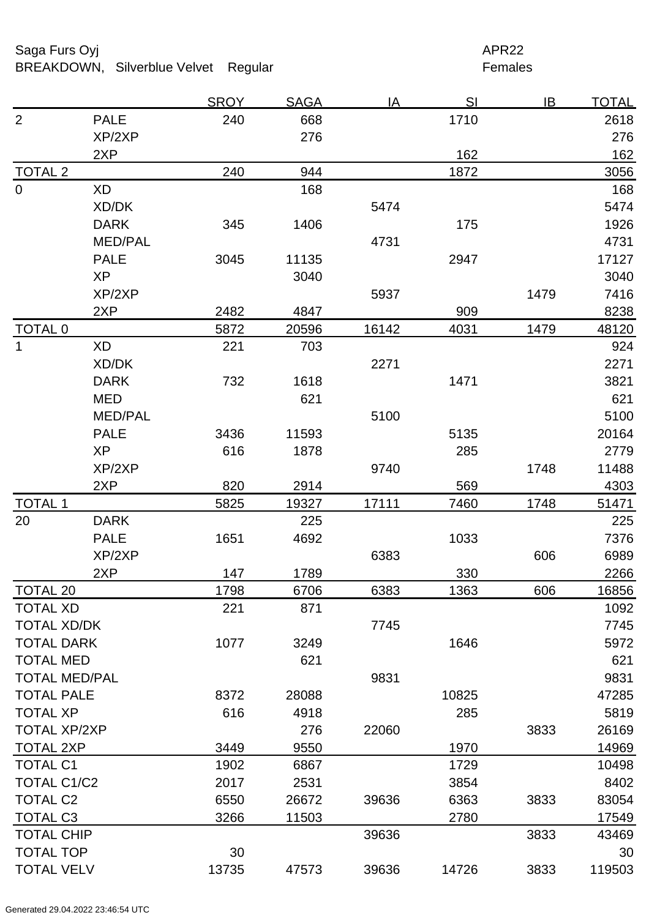Saga Furs Oyj and the Saga Furs Oyj APR22

BREAKDOWN, Silverblue Velvet Regular Females

|                      |                | <b>SROY</b> | <b>SAGA</b> | IA    | SI    | <b>IB</b> | <b>TOTAL</b> |
|----------------------|----------------|-------------|-------------|-------|-------|-----------|--------------|
| $\overline{2}$       | <b>PALE</b>    | 240         | 668         |       | 1710  |           | 2618         |
|                      | XP/2XP         |             | 276         |       |       |           | 276          |
|                      | 2XP            |             |             |       | 162   |           | 162          |
| <b>TOTAL 2</b>       |                | 240         | 944         |       | 1872  |           | 3056         |
| $\overline{0}$       | <b>XD</b>      |             | 168         |       |       |           | 168          |
|                      | XD/DK          |             |             | 5474  |       |           | 5474         |
|                      | <b>DARK</b>    | 345         | 1406        |       | 175   |           | 1926         |
|                      | <b>MED/PAL</b> |             |             | 4731  |       |           | 4731         |
|                      | <b>PALE</b>    | 3045        | 11135       |       | 2947  |           | 17127        |
|                      | <b>XP</b>      |             | 3040        |       |       |           | 3040         |
|                      | XP/2XP         |             |             | 5937  |       | 1479      | 7416         |
|                      | 2XP            | 2482        | 4847        |       | 909   |           | 8238         |
| <b>TOTAL 0</b>       |                | 5872        | 20596       | 16142 | 4031  | 1479      | 48120        |
| $\mathbf{1}$         | XD             | 221         | 703         |       |       |           | 924          |
|                      | XD/DK          |             |             | 2271  |       |           | 2271         |
|                      | <b>DARK</b>    | 732         | 1618        |       | 1471  |           | 3821         |
|                      | <b>MED</b>     |             | 621         |       |       |           | 621          |
|                      | <b>MED/PAL</b> |             |             | 5100  |       |           | 5100         |
|                      | <b>PALE</b>    | 3436        | 11593       |       | 5135  |           | 20164        |
|                      | <b>XP</b>      | 616         | 1878        |       | 285   |           | 2779         |
|                      | XP/2XP         |             |             | 9740  |       | 1748      | 11488        |
|                      | 2XP            | 820         | 2914        |       | 569   |           | 4303         |
| <b>TOTAL 1</b>       |                | 5825        | 19327       | 17111 | 7460  | 1748      | 51471        |
| 20                   | <b>DARK</b>    |             | 225         |       |       |           | 225          |
|                      | <b>PALE</b>    | 1651        | 4692        |       | 1033  |           | 7376         |
|                      | XP/2XP         |             |             | 6383  |       | 606       | 6989         |
|                      | 2XP            | 147         | 1789        |       | 330   |           | 2266         |
| <b>TOTAL 20</b>      |                | 1798        | 6706        | 6383  | 1363  | 606       | 16856        |
| <b>TOTAL XD</b>      |                | 221         | 871         |       |       |           | 1092         |
| <b>TOTAL XD/DK</b>   |                |             |             | 7745  |       |           | 7745         |
| <b>TOTAL DARK</b>    |                | 1077        | 3249        |       | 1646  |           | 5972         |
| <b>TOTAL MED</b>     |                |             | 621         |       |       |           | 621          |
| <b>TOTAL MED/PAL</b> |                |             |             | 9831  |       |           | 9831         |
| <b>TOTAL PALE</b>    |                | 8372        | 28088       |       | 10825 |           | 47285        |
| <b>TOTAL XP</b>      |                | 616         | 4918        |       | 285   |           | 5819         |
| <b>TOTAL XP/2XP</b>  |                |             | 276         | 22060 |       | 3833      | 26169        |
| <b>TOTAL 2XP</b>     |                | 3449        | 9550        |       | 1970  |           | 14969        |
| <b>TOTAL C1</b>      |                | 1902        | 6867        |       | 1729  |           | 10498        |
| <b>TOTAL C1/C2</b>   |                | 2017        | 2531        |       | 3854  |           | 8402         |
| <b>TOTAL C2</b>      |                | 6550        | 26672       | 39636 | 6363  | 3833      | 83054        |
| <b>TOTAL C3</b>      |                | 3266        | 11503       |       | 2780  |           | 17549        |
| <b>TOTAL CHIP</b>    |                |             |             | 39636 |       | 3833      | 43469        |
| <b>TOTAL TOP</b>     |                | 30          |             |       |       |           | 30           |
| <b>TOTAL VELV</b>    |                | 13735       | 47573       | 39636 | 14726 | 3833      | 119503       |